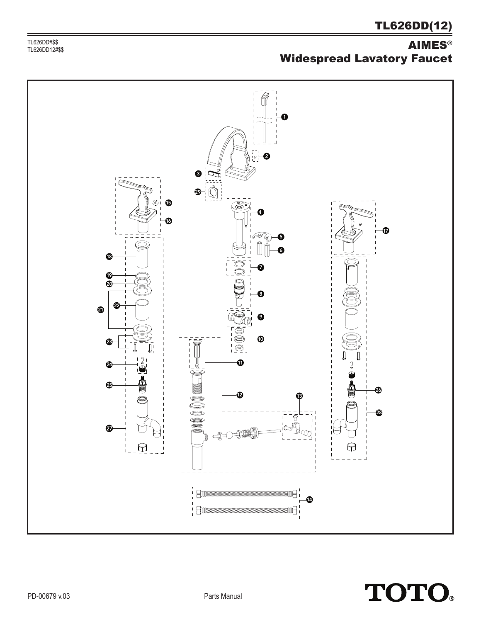## TL626DD#\$\$ $\blacksquare$ TL626DD#\$\$ $\blacksquare$ MES® Widespread Lavatory Faucet





TL626DD#\$\$<br>TL626DD12#\$\$